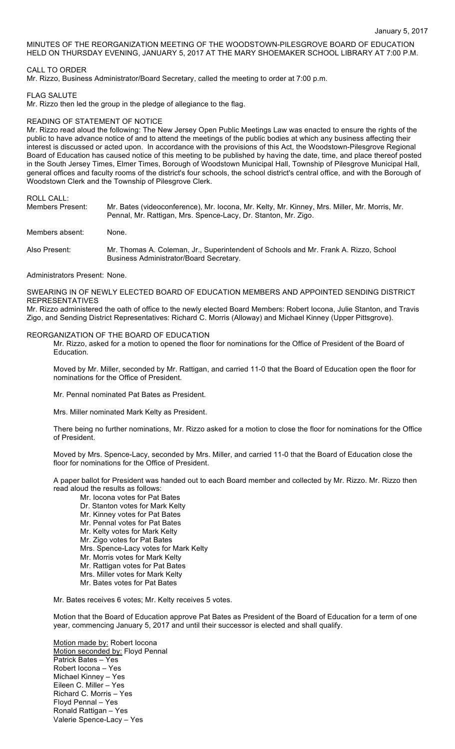MINUTES OF THE REORGANIZATION MEETING OF THE WOODSTOWN-PILESGROVE BOARD OF EDUCATION HELD ON THURSDAY EVENING, JANUARY 5, 2017 AT THE MARY SHOEMAKER SCHOOL LIBRARY AT 7:00 P.M.

# CALL TO ORDER

Mr. Rizzo, Business Administrator/Board Secretary, called the meeting to order at 7:00 p.m.

#### FLAG SALUTE

Mr. Rizzo then led the group in the pledge of allegiance to the flag.

# READING OF STATEMENT OF NOTICE

Mr. Rizzo read aloud the following: The New Jersey Open Public Meetings Law was enacted to ensure the rights of the public to have advance notice of and to attend the meetings of the public bodies at which any business affecting their interest is discussed or acted upon. In accordance with the provisions of this Act, the Woodstown-Pilesgrove Regional Board of Education has caused notice of this meeting to be published by having the date, time, and place thereof posted in the South Jersey Times, Elmer Times, Borough of Woodstown Municipal Hall, Township of Pilesgrove Municipal Hall, general offices and faculty rooms of the district's four schools, the school district's central office, and with the Borough of Woodstown Clerk and the Township of Pilesgrove Clerk.

ROLL CALL:

| Members Present: | Mr. Bates (videoconference), Mr. Iocona, Mr. Kelty, Mr. Kinney, Mrs. Miller, Mr. Morris, Mr.<br>Pennal, Mr. Rattigan, Mrs. Spence-Lacy, Dr. Stanton, Mr. Zigo. |
|------------------|----------------------------------------------------------------------------------------------------------------------------------------------------------------|
| Members absent:  | None.                                                                                                                                                          |
| Also Present:    | Mr. Thomas A. Coleman, Jr., Superintendent of Schools and Mr. Frank A. Rizzo, School<br>Business Administrator/Board Secretary.                                |

Administrators Present: None.

SWEARING IN OF NEWLY ELECTED BOARD OF EDUCATION MEMBERS AND APPOINTED SENDING DISTRICT REPRESENTATIVES

Mr. Rizzo administered the oath of office to the newly elected Board Members: Robert Iocona, Julie Stanton, and Travis Zigo, and Sending District Representatives: Richard C. Morris (Alloway) and Michael Kinney (Upper Pittsgrove).

#### REORGANIZATION OF THE BOARD OF EDUCATION

Mr. Rizzo, asked for a motion to opened the floor for nominations for the Office of President of the Board of Education.

Moved by Mr. Miller, seconded by Mr. Rattigan, and carried 11-0 that the Board of Education open the floor for nominations for the Office of President.

Mr. Pennal nominated Pat Bates as President.

Mrs. Miller nominated Mark Kelty as President.

There being no further nominations, Mr. Rizzo asked for a motion to close the floor for nominations for the Office of President.

Moved by Mrs. Spence-Lacy, seconded by Mrs. Miller, and carried 11-0 that the Board of Education close the floor for nominations for the Office of President.

A paper ballot for President was handed out to each Board member and collected by Mr. Rizzo. Mr. Rizzo then read aloud the results as follows:

Mr. Iocona votes for Pat Bates Dr. Stanton votes for Mark Kelty Mr. Kinney votes for Pat Bates Mr. Pennal votes for Pat Bates Mr. Kelty votes for Mark Kelty Mr. Zigo votes for Pat Bates Mrs. Spence-Lacy votes for Mark Kelty Mr. Morris votes for Mark Kelty Mr. Rattigan votes for Pat Bates Mrs. Miller votes for Mark Kelty Mr. Bates votes for Pat Bates

Mr. Bates receives 6 votes; Mr. Kelty receives 5 votes.

Motion that the Board of Education approve Pat Bates as President of the Board of Education for a term of one year, commencing January 5, 2017 and until their successor is elected and shall qualify.

Motion made by: Robert locona Motion seconded by: Floyd Pennal Patrick Bates – Yes Robert Iocona – Yes Michael Kinney – Yes Eileen C. Miller – Yes Richard C. Morris – Yes Floyd Pennal – Yes Ronald Rattigan – Yes Valerie Spence-Lacy – Yes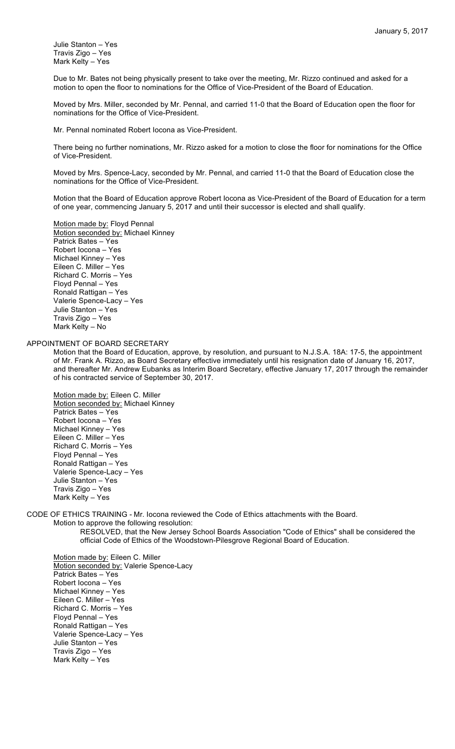Julie Stanton – Yes Travis Zigo – Yes Mark Kelty – Yes

Due to Mr. Bates not being physically present to take over the meeting, Mr. Rizzo continued and asked for a motion to open the floor to nominations for the Office of Vice-President of the Board of Education.

Moved by Mrs. Miller, seconded by Mr. Pennal, and carried 11-0 that the Board of Education open the floor for nominations for the Office of Vice-President.

Mr. Pennal nominated Robert Iocona as Vice-President.

There being no further nominations, Mr. Rizzo asked for a motion to close the floor for nominations for the Office of Vice-President.

Moved by Mrs. Spence-Lacy, seconded by Mr. Pennal, and carried 11-0 that the Board of Education close the nominations for the Office of Vice-President.

Motion that the Board of Education approve Robert Iocona as Vice-President of the Board of Education for a term of one year, commencing January 5, 2017 and until their successor is elected and shall qualify.

Motion made by: Floyd Pennal Motion seconded by: Michael Kinney Patrick Bates – Yes Robert Iocona – Yes Michael Kinney – Yes Eileen C. Miller – Yes Richard C. Morris – Yes Floyd Pennal – Yes Ronald Rattigan – Yes Valerie Spence-Lacy – Yes Julie Stanton – Yes Travis Zigo – Yes Mark Kelty – No

### APPOINTMENT OF BOARD SECRETARY

Motion that the Board of Education, approve, by resolution, and pursuant to N.J.S.A. 18A: 17-5, the appointment of Mr. Frank A. Rizzo, as Board Secretary effective immediately until his resignation date of January 16, 2017, and thereafter Mr. Andrew Eubanks as Interim Board Secretary, effective January 17, 2017 through the remainder of his contracted service of September 30, 2017.

Motion made by: Eileen C. Miller Motion seconded by: Michael Kinney Patrick Bates – Yes Robert Iocona – Yes Michael Kinney – Yes Eileen C. Miller – Yes Richard C. Morris – Yes Floyd Pennal – Yes Ronald Rattigan – Yes Valerie Spence-Lacy – Yes Julie Stanton – Yes Travis Zigo – Yes Mark Kelty – Yes

CODE OF ETHICS TRAINING - Mr. Iocona reviewed the Code of Ethics attachments with the Board.

Motion to approve the following resolution:

RESOLVED, that the New Jersey School Boards Association "Code of Ethics" shall be considered the official Code of Ethics of the Woodstown-Pilesgrove Regional Board of Education.

Motion made by: Eileen C. Miller Motion seconded by: Valerie Spence-Lacy Patrick Bates – Yes Robert Iocona – Yes Michael Kinney – Yes Eileen C. Miller – Yes Richard C. Morris – Yes Floyd Pennal – Yes Ronald Rattigan – Yes Valerie Spence-Lacy – Yes Julie Stanton – Yes Travis Zigo – Yes Mark Kelty – Yes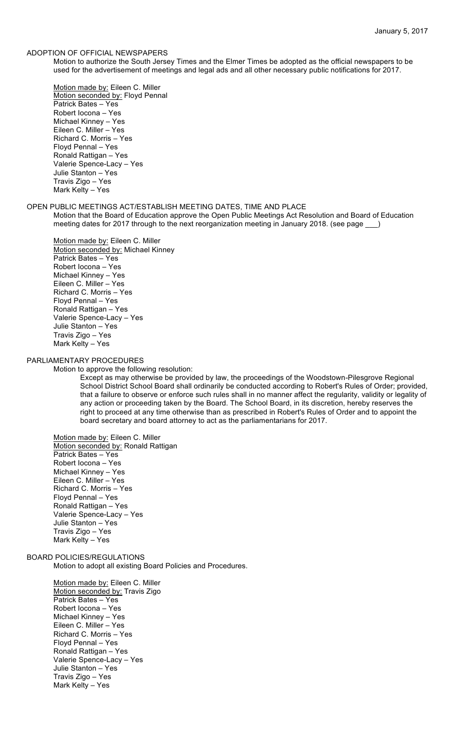### ADOPTION OF OFFICIAL NEWSPAPERS

Motion to authorize the South Jersey Times and the Elmer Times be adopted as the official newspapers to be used for the advertisement of meetings and legal ads and all other necessary public notifications for 2017.

Motion made by: Eileen C. Miller Motion seconded by: Floyd Pennal Patrick Bates – Yes Robert Iocona – Yes Michael Kinney – Yes Eileen C. Miller – Yes Richard C. Morris – Yes Floyd Pennal – Yes Ronald Rattigan – Yes Valerie Spence-Lacy – Yes Julie Stanton – Yes Travis Zigo – Yes Mark Kelty – Yes

### OPEN PUBLIC MEETINGS ACT/ESTABLISH MEETING DATES, TIME AND PLACE

Motion that the Board of Education approve the Open Public Meetings Act Resolution and Board of Education meeting dates for 2017 through to the next reorganization meeting in January 2018. (see page )

Motion made by: Eileen C. Miller Motion seconded by: Michael Kinney Patrick Bates – Yes Robert Iocona – Yes Michael Kinney – Yes Eileen C. Miller – Yes Richard C. Morris – Yes Floyd Pennal – Yes Ronald Rattigan – Yes Valerie Spence-Lacy – Yes Julie Stanton – Yes Travis Zigo – Yes Mark Kelty – Yes

# PARLIAMENTARY PROCEDURES

Motion to approve the following resolution:

Except as may otherwise be provided by law, the proceedings of the Woodstown-Pilesgrove Regional School District School Board shall ordinarily be conducted according to Robert's Rules of Order; provided, that a failure to observe or enforce such rules shall in no manner affect the regularity, validity or legality of any action or proceeding taken by the Board. The School Board, in its discretion, hereby reserves the right to proceed at any time otherwise than as prescribed in Robert's Rules of Order and to appoint the board secretary and board attorney to act as the parliamentarians for 2017.

### Motion made by: Eileen C. Miller Motion seconded by: Ronald Rattigan

Patrick Bates – Yes Robert Iocona – Yes Michael Kinney – Yes Eileen C. Miller – Yes Richard C. Morris – Yes Floyd Pennal – Yes Ronald Rattigan – Yes Valerie Spence-Lacy – Yes Julie Stanton – Yes Travis Zigo – Yes Mark Kelty – Yes

# BOARD POLICIES/REGULATIONS

Motion to adopt all existing Board Policies and Procedures.

Motion made by: Eileen C. Miller Motion seconded by: Travis Zigo Patrick Bates – Yes Robert Iocona – Yes Michael Kinney – Yes Eileen C. Miller – Yes Richard C. Morris – Yes Floyd Pennal – Yes Ronald Rattigan – Yes Valerie Spence-Lacy – Yes Julie Stanton – Yes Travis Zigo – Yes Mark Kelty – Yes